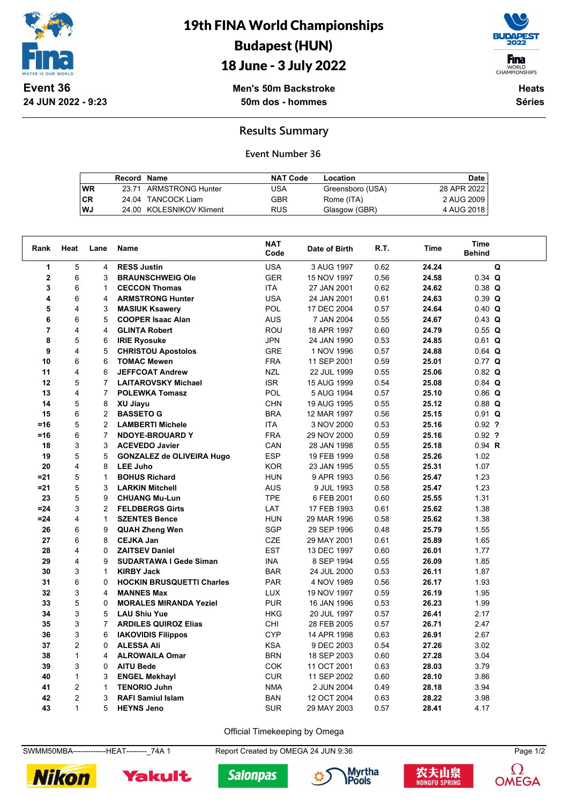

**24 JUN 2022 - 9:23**

19th FINA World Championships Budapest (HUN)



## 18 June - 3 July 2022

**Men's 50m Backstroke 50m dos - hommes**

**Heats Séries**

**Results Summary**

## **Event Number 36**

|           | Record Name |                          | <b>NAT Code</b> | Location         | Date        |
|-----------|-------------|--------------------------|-----------------|------------------|-------------|
| <b>WR</b> |             | 23.71 ARMSTRONG Hunter   | USA             | Greensboro (USA) | 28 APR 2022 |
| l CR      |             | 24.04 TANCOCK Liam       | GBR             | Rome (ITA)       | 2 AUG 2009  |
| l WJ      |             | 24.00 KOLESNIKOV Kliment | RUS             | Glasgow (GBR)    | 4 AUG 2018  |

| Rank           | Heat           | Lane           | <b>Name</b>                      | <b>NAT</b><br>Code | Date of Birth | R.T. | Time  | <b>Time</b><br><b>Behind</b> |  |
|----------------|----------------|----------------|----------------------------------|--------------------|---------------|------|-------|------------------------------|--|
| $\mathbf{1}$   | 5              | 4              | <b>RESS Justin</b>               | <b>USA</b>         | 3 AUG 1997    | 0.62 | 24.24 | Q                            |  |
| $\mathbf 2$    | 6              | 3              | <b>BRAUNSCHWEIG Ole</b>          | <b>GER</b>         | 15 NOV 1997   | 0.56 | 24.58 | $0.34$ Q                     |  |
| 3              | 6              | $\mathbf{1}$   | <b>CECCON Thomas</b>             | <b>ITA</b>         | 27 JAN 2001   | 0.62 | 24.62 | $0.38$ Q                     |  |
| 4              | 6              | 4              | <b>ARMSTRONG Hunter</b>          | <b>USA</b>         | 24 JAN 2001   | 0.61 | 24.63 | $0.39$ Q                     |  |
| 5              | 4              | 3              | <b>MASIUK Ksawery</b>            | POL                | 17 DEC 2004   | 0.57 | 24.64 | $0.40$ Q                     |  |
| 6              | 6              | 5              | <b>COOPER Isaac Alan</b>         | <b>AUS</b>         | 7 JAN 2004    | 0.55 | 24.67 | $0.43$ Q                     |  |
| $\overline{7}$ | 4              | 4              | <b>GLINTA Robert</b>             | <b>ROU</b>         | 18 APR 1997   | 0.60 | 24.79 | 0.55 Q                       |  |
| 8              | 5              | 6              | <b>IRIE Ryosuke</b>              | JPN                | 24 JAN 1990   | 0.53 | 24.85 | $0.61$ Q                     |  |
| 9              | 4              | 5              | <b>CHRISTOU Apostolos</b>        | <b>GRE</b>         | 1 NOV 1996    | 0.57 | 24.88 | $0.64$ Q                     |  |
| 10             | 6              | 6              | <b>TOMAC Mewen</b>               | <b>FRA</b>         | 11 SEP 2001   | 0.59 | 25.01 | $0.77$ Q                     |  |
| 11             | 4              | 6              | <b>JEFFCOAT Andrew</b>           | <b>NZL</b>         | 22 JUL 1999   | 0.55 | 25.06 | $0.82$ Q                     |  |
| 12             | 5              | $\overline{7}$ | <b>LAITAROVSKY Michael</b>       | <b>ISR</b>         | 15 AUG 1999   | 0.54 | 25.08 | $0.84$ Q                     |  |
| 13             | 4              | $\overline{7}$ | <b>POLEWKA Tomasz</b>            | <b>POL</b>         | 5 AUG 1994    | 0.57 | 25.10 | $0.86$ Q                     |  |
| 14             | 5              | 8              | XU Jiayu                         | <b>CHN</b>         | 19 AUG 1995   | 0.55 | 25.12 | $0.88$ Q                     |  |
| 15             | 6              | $\overline{2}$ | <b>BASSETO G</b>                 | <b>BRA</b>         | 12 MAR 1997   | 0.56 | 25.15 | $0.91$ Q                     |  |
| $=16$          | 5              | 2              | <b>LAMBERTI Michele</b>          | <b>ITA</b>         | 3 NOV 2000    | 0.53 | 25.16 | $0.92$ ?                     |  |
| $=16$          | 6              | $\overline{7}$ | <b>NDOYE-BROUARD Y</b>           | <b>FRA</b>         | 29 NOV 2000   | 0.59 | 25.16 | $0.92$ ?                     |  |
| 18             | 3              | 3              | <b>ACEVEDO Javier</b>            | CAN                | 28 JAN 1998   | 0.55 | 25.18 | $0.94$ R                     |  |
| 19             | 5              | 5              | <b>GONZALEZ de OLIVEIRA Hugo</b> | <b>ESP</b>         | 19 FEB 1999   | 0.58 | 25.26 | 1.02                         |  |
| 20             | 4              | 8              | <b>LEE Juho</b>                  | <b>KOR</b>         | 23 JAN 1995   | 0.55 | 25.31 | 1.07                         |  |
| $= 21$         | 5              | $\mathbf{1}$   | <b>BOHUS Richard</b>             | <b>HUN</b>         | 9 APR 1993    | 0.56 | 25.47 | 1.23                         |  |
| $= 21$         | 5              | 3              | <b>LARKIN Mitchell</b>           | <b>AUS</b>         | 9 JUL 1993    | 0.58 | 25.47 | 1.23                         |  |
| 23             | 5              | 9              | <b>CHUANG Mu-Lun</b>             | <b>TPE</b>         | 6 FEB 2001    | 0.60 | 25.55 | 1.31                         |  |
| $= 24$         | 3              | $\overline{2}$ | <b>FELDBERGS Girts</b>           | LAT                | 17 FEB 1993   | 0.61 | 25.62 | 1.38                         |  |
| $= 24$         | 4              | $\mathbf{1}$   | <b>SZENTES Bence</b>             | <b>HUN</b>         | 29 MAR 1996   | 0.58 | 25.62 | 1.38                         |  |
| 26             | 6              | 9              | <b>QUAH Zheng Wen</b>            | <b>SGP</b>         | 29 SEP 1996   | 0.48 | 25.79 | 1.55                         |  |
| 27             | 6              | 8              | <b>CEJKA Jan</b>                 | <b>CZE</b>         | 29 MAY 2001   | 0.61 | 25.89 | 1.65                         |  |
| 28             | 4              | $\Omega$       | <b>ZAITSEV Daniel</b>            | <b>EST</b>         | 13 DEC 1997   | 0.60 | 26.01 | 1.77                         |  |
| 29             | 4              | 9              | <b>SUDARTAWA I Gede Siman</b>    | <b>INA</b>         | 8 SEP 1994    | 0.55 | 26.09 | 1.85                         |  |
| 30             | 3              | $\mathbf{1}$   | <b>KIRBY Jack</b>                | <b>BAR</b>         | 24 JUL 2000   | 0.53 | 26.11 | 1.87                         |  |
| 31             | 6              | $\Omega$       | <b>HOCKIN BRUSQUETTI Charles</b> | <b>PAR</b>         | 4 NOV 1989    | 0.56 | 26.17 | 1.93                         |  |
| 32             | 3              | 4              | <b>MANNES Max</b>                | <b>LUX</b>         | 19 NOV 1997   | 0.59 | 26.19 | 1.95                         |  |
| 33             | 5              | 0              | <b>MORALES MIRANDA Yeziel</b>    | <b>PUR</b>         | 16 JAN 1996   | 0.53 | 26.23 | 1.99                         |  |
| 34             | 3              | 5              | <b>LAU Shiu Yue</b>              | <b>HKG</b>         | 20 JUL 1997   | 0.57 | 26.41 | 2.17                         |  |
| 35             | 3              | $\overline{7}$ | <b>ARDILES QUIROZ Elias</b>      | CHI                | 28 FEB 2005   | 0.57 | 26.71 | 2.47                         |  |
| 36             | 3              | 6              | <b>IAKOVIDIS Filippos</b>        | <b>CYP</b>         | 14 APR 1998   | 0.63 | 26.91 | 2.67                         |  |
| 37             | $\overline{c}$ | 0              | <b>ALESSA Ali</b>                | <b>KSA</b>         | 9 DEC 2003    | 0.54 | 27.26 | 3.02                         |  |
| 38             | $\mathbf{1}$   | 4              | <b>ALROWAILA Omar</b>            | <b>BRN</b>         | 18 SEP 2003   | 0.60 | 27.28 | 3.04                         |  |
| 39             | 3              | 0              | <b>AITU Bede</b>                 | <b>COK</b>         | 11 OCT 2001   | 0.63 | 28.03 | 3.79                         |  |
| 40             | $\mathbf{1}$   | 3              | <b>ENGEL Mekhayl</b>             | <b>CUR</b>         | 11 SEP 2002   | 0.60 | 28.10 | 3.86                         |  |
| 41             | $\overline{2}$ | $\mathbf{1}$   | <b>TENORIO Juhn</b>              | <b>NMA</b>         | 2 JUN 2004    | 0.49 | 28.18 | 3.94                         |  |
| 42             | $\overline{2}$ | 3              | <b>RAFI Samiul Islam</b>         | <b>BAN</b>         | 12 OCT 2004   | 0.63 | 28.22 | 3.98                         |  |
| 43             | $\mathbf{1}$   | 5              | <b>HEYNS Jeno</b>                | <b>SUR</b>         | 29 MAY 2003   | 0.57 | 28.41 | 4.17                         |  |

Official Timekeeping by Omega

SWMM50MBA--------------HEAT---------<sub>-</sub>74A 1 Report Created by OMEGA 24 JUN 9:36 Page 1/2